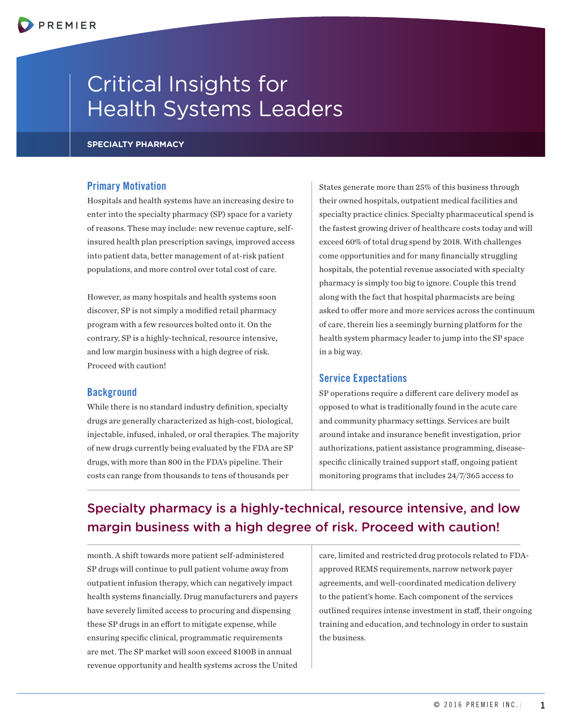# Critical Insights for Health Systems Leaders

### **SPECIALTY PHARMACY**

# Primary Motivation

Hospitals and health systems have an increasing desire to enter into the specialty pharmacy (SP) space for a variety of reasons. These may include: new revenue capture, selfinsured health plan prescription savings, improved access into patient data, better management of at-risk patient populations, and more control over total cost of care.

However, as many hospitals and health systems soon discover, SP is not simply a modified retail pharmacy program with a few resources bolted onto it. On the contrary, SP is a highly-technical, resource intensive, and low margin business with a high degree of risk. Proceed with caution!

### **Background**

While there is no standard industry definition, specialty drugs are generally characterized as high-cost, biological, injectable, infused, inhaled, or oral therapies. The majority of new drugs currently being evaluated by the FDA are SP drugs, with more than 800 in the FDA's pipeline. Their costs can range from thousands to tens of thousands per

States generate more than 25% of this business through their owned hospitals, outpatient medical facilities and specialty practice clinics. Specialty pharmaceutical spend is the fastest growing driver of healthcare costs today and will exceed 60% of total drug spend by 2018. With challenges come opportunities and for many financially struggling hospitals, the potential revenue associated with specialty pharmacy is simply too big to ignore. Couple this trend along with the fact that hospital pharmacists are being asked to offer more and more services across the continuum of care, therein lies a seemingly burning platform for the health system pharmacy leader to jump into the SP space in a big way.

# Service Expectations

SP operations require a different care delivery model as opposed to what is traditionally found in the acute care and community pharmacy settings. Services are built around intake and insurance benefit investigation, prior authorizations, patient assistance programming, diseasespecific clinically trained support staff, ongoing patient monitoring programs that includes 24/7/365 access to

# Specialty pharmacy is a highly-technical, resource intensive, and low margin business with a high degree of risk. Proceed with caution!

month. A shift towards more patient self-administered SP drugs will continue to pull patient volume away from outpatient infusion therapy, which can negatively impact health systems financially. Drug manufacturers and payers have severely limited access to procuring and dispensing these SP drugs in an effort to mitigate expense, while ensuring specific clinical, programmatic requirements are met. The SP market will soon exceed \$100B in annual revenue opportunity and health systems across the United

care, limited and restricted drug protocols related to FDAapproved REMS requirements, narrow network payer agreements, and well-coordinated medication delivery to the patient's home. Each component of the services outlined requires intense investment in staff, their ongoing training and education, and technology in order to sustain the business.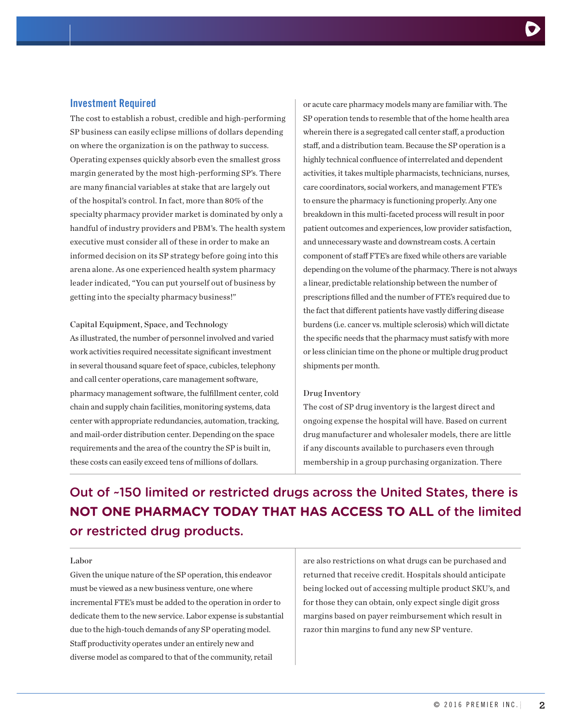#### Investment Required

The cost to establish a robust, credible and high-performing SP business can easily eclipse millions of dollars depending on where the organization is on the pathway to success. Operating expenses quickly absorb even the smallest gross margin generated by the most high-performing SP's. There are many financial variables at stake that are largely out of the hospital's control. In fact, more than 80% of the specialty pharmacy provider market is dominated by only a handful of industry providers and PBM's. The health system executive must consider all of these in order to make an informed decision on its SP strategy before going into this arena alone. As one experienced health system pharmacy leader indicated, "You can put yourself out of business by getting into the specialty pharmacy business!"

Capital Equipment, Space, and Technology As illustrated, the number of personnel involved and varied work activities required necessitate significant investment in several thousand square feet of space, cubicles, telephony and call center operations, care management software, pharmacy management software, the fulfillment center, cold chain and supply chain facilities, monitoring systems, data center with appropriate redundancies, automation, tracking, and mail-order distribution center. Depending on the space requirements and the area of the country the SP is built in, these costs can easily exceed tens of millions of dollars.

or acute care pharmacy models many are familiar with. The SP operation tends to resemble that of the home health area wherein there is a segregated call center staff, a production staff, and a distribution team. Because the SP operation is a highly technical confluence of interrelated and dependent activities, it takes multiple pharmacists, technicians, nurses, care coordinators, social workers, and management FTE's to ensure the pharmacy is functioning properly. Any one breakdown in this multi-faceted process will result in poor patient outcomes and experiences, low provider satisfaction, and unnecessary waste and downstream costs. A certain component of staff FTE's are fixed while others are variable depending on the volume of the pharmacy. There is not always a linear, predictable relationship between the number of prescriptions filled and the number of FTE's required due to the fact that different patients have vastly differing disease burdens (i.e. cancer vs. multiple sclerosis) which will dictate the specific needs that the pharmacy must satisfy with more or less clinician time on the phone or multiple drug product shipments per month.

#### Drug Inventory

The cost of SP drug inventory is the largest direct and ongoing expense the hospital will have. Based on current drug manufacturer and wholesaler models, there are little if any discounts available to purchasers even through membership in a group purchasing organization. There

# Out of ~150 limited or restricted drugs across the United States, there is **NOT ONE PHARMACY TODAY THAT HAS ACCESS TO ALL** of the limited or restricted drug products.

#### Labor

Given the unique nature of the SP operation, this endeavor must be viewed as a new business venture, one where incremental FTE's must be added to the operation in order to dedicate them to the new service. Labor expense is substantial due to the high-touch demands of any SP operating model. Staff productivity operates under an entirely new and diverse model as compared to that of the community, retail

are also restrictions on what drugs can be purchased and returned that receive credit. Hospitals should anticipate being locked out of accessing multiple product SKU's, and for those they can obtain, only expect single digit gross margins based on payer reimbursement which result in razor thin margins to fund any new SP venture.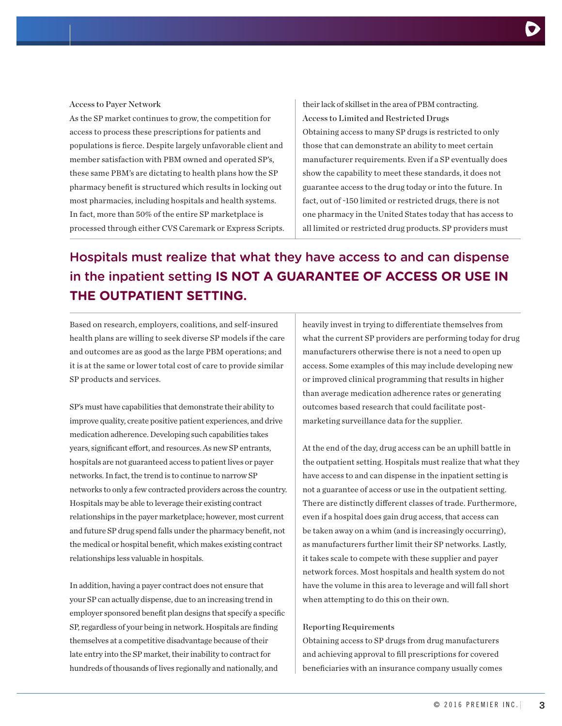As the SP market continues to grow, the competition for access to process these prescriptions for patients and populations is fierce. Despite largely unfavorable client and member satisfaction with PBM owned and operated SP's, these same PBM's are dictating to health plans how the SP pharmacy benefit is structured which results in locking out most pharmacies, including hospitals and health systems. In fact, more than 50% of the entire SP marketplace is processed through either CVS Caremark or Express Scripts.

their lack of skillset in the area of PBM contracting. Access to Limited and Restricted Drugs Obtaining access to many SP drugs is restricted to only those that can demonstrate an ability to meet certain manufacturer requirements. Even if a SP eventually does show the capability to meet these standards, it does not guarantee access to the drug today or into the future. In fact, out of ~150 limited or restricted drugs, there is not one pharmacy in the United States today that has access to all limited or restricted drug products. SP providers must

# Hospitals must realize that what they have access to and can dispense in the inpatient setting **IS NOT A GUARANTEE OF ACCESS OR USE IN THE OUTPATIENT SETTING.**

Based on research, employers, coalitions, and self-insured health plans are willing to seek diverse SP models if the care and outcomes are as good as the large PBM operations; and it is at the same or lower total cost of care to provide similar SP products and services.

SP's must have capabilities that demonstrate their ability to improve quality, create positive patient experiences, and drive medication adherence. Developing such capabilities takes years, significant effort, and resources. As new SP entrants, hospitals are not guaranteed access to patient lives or payer networks. In fact, the trend is to continue to narrow SP networks to only a few contracted providers across the country. Hospitals may be able to leverage their existing contract relationships in the payer marketplace; however, most current and future SP drug spend falls under the pharmacy benefit, not the medical or hospital benefit, which makes existing contract relationships less valuable in hospitals.

In addition, having a payer contract does not ensure that your SP can actually dispense, due to an increasing trend in employer sponsored benefit plan designs that specify a specific SP, regardless of your being in network. Hospitals are finding themselves at a competitive disadvantage because of their late entry into the SP market, their inability to contract for hundreds of thousands of lives regionally and nationally, and

heavily invest in trying to differentiate themselves from what the current SP providers are performing today for drug manufacturers otherwise there is not a need to open up access. Some examples of this may include developing new or improved clinical programming that results in higher than average medication adherence rates or generating outcomes based research that could facilitate postmarketing surveillance data for the supplier.

At the end of the day, drug access can be an uphill battle in the outpatient setting. Hospitals must realize that what they have access to and can dispense in the inpatient setting is not a guarantee of access or use in the outpatient setting. There are distinctly different classes of trade. Furthermore, even if a hospital does gain drug access, that access can be taken away on a whim (and is increasingly occurring), as manufacturers further limit their SP networks. Lastly, it takes scale to compete with these supplier and payer network forces. Most hospitals and health system do not have the volume in this area to leverage and will fall short when attempting to do this on their own.

#### Reporting Requirements

Obtaining access to SP drugs from drug manufacturers and achieving approval to fill prescriptions for covered beneficiaries with an insurance company usually comes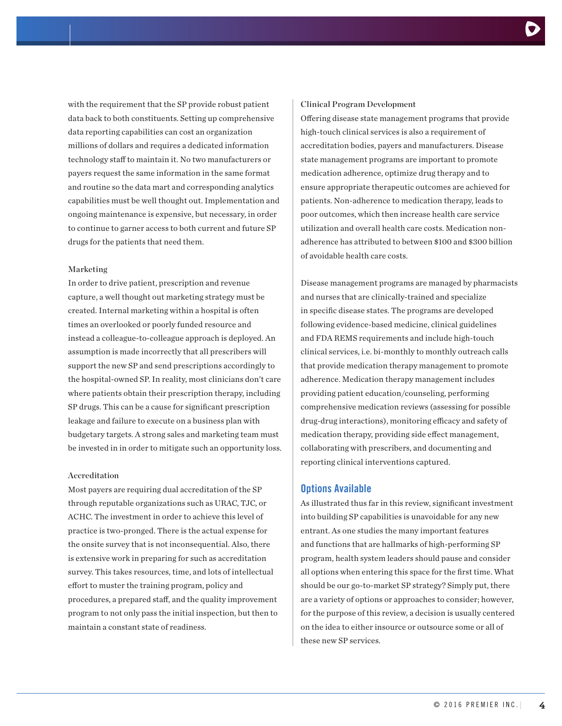with the requirement that the SP provide robust patient data back to both constituents. Setting up comprehensive data reporting capabilities can cost an organization millions of dollars and requires a dedicated information technology staff to maintain it. No two manufacturers or payers request the same information in the same format and routine so the data mart and corresponding analytics capabilities must be well thought out. Implementation and ongoing maintenance is expensive, but necessary, in order to continue to garner access to both current and future SP drugs for the patients that need them.

#### Marketing

In order to drive patient, prescription and revenue capture, a well thought out marketing strategy must be created. Internal marketing within a hospital is often times an overlooked or poorly funded resource and instead a colleague-to-colleague approach is deployed. An assumption is made incorrectly that all prescribers will support the new SP and send prescriptions accordingly to the hospital-owned SP. In reality, most clinicians don't care where patients obtain their prescription therapy, including SP drugs. This can be a cause for significant prescription leakage and failure to execute on a business plan with budgetary targets. A strong sales and marketing team must be invested in in order to mitigate such an opportunity loss.

#### Accreditation

Most payers are requiring dual accreditation of the SP through reputable organizations such as URAC, TJC, or ACHC. The investment in order to achieve this level of practice is two-pronged. There is the actual expense for the onsite survey that is not inconsequential. Also, there is extensive work in preparing for such as accreditation survey. This takes resources, time, and lots of intellectual effort to muster the training program, policy and procedures, a prepared staff, and the quality improvement program to not only pass the initial inspection, but then to maintain a constant state of readiness.

#### Clinical Program Development

Offering disease state management programs that provide high-touch clinical services is also a requirement of accreditation bodies, payers and manufacturers. Disease state management programs are important to promote medication adherence, optimize drug therapy and to ensure appropriate therapeutic outcomes are achieved for patients. Non-adherence to medication therapy, leads to poor outcomes, which then increase health care service utilization and overall health care costs. Medication nonadherence has attributed to between \$100 and \$300 billion of avoidable health care costs.

Disease management programs are managed by pharmacists and nurses that are clinically-trained and specialize in specific disease states. The programs are developed following evidence-based medicine, clinical guidelines and FDA REMS requirements and include high-touch clinical services, i.e. bi-monthly to monthly outreach calls that provide medication therapy management to promote adherence. Medication therapy management includes providing patient education/counseling, performing comprehensive medication reviews (assessing for possible drug-drug interactions), monitoring efficacy and safety of medication therapy, providing side effect management, collaborating with prescribers, and documenting and reporting clinical interventions captured.

## Options Available

As illustrated thus far in this review, significant investment into building SP capabilities is unavoidable for any new entrant. As one studies the many important features and functions that are hallmarks of high-performing SP program, health system leaders should pause and consider all options when entering this space for the first time. What should be our go-to-market SP strategy? Simply put, there are a variety of options or approaches to consider; however, for the purpose of this review, a decision is usually centered on the idea to either insource or outsource some or all of these new SP services.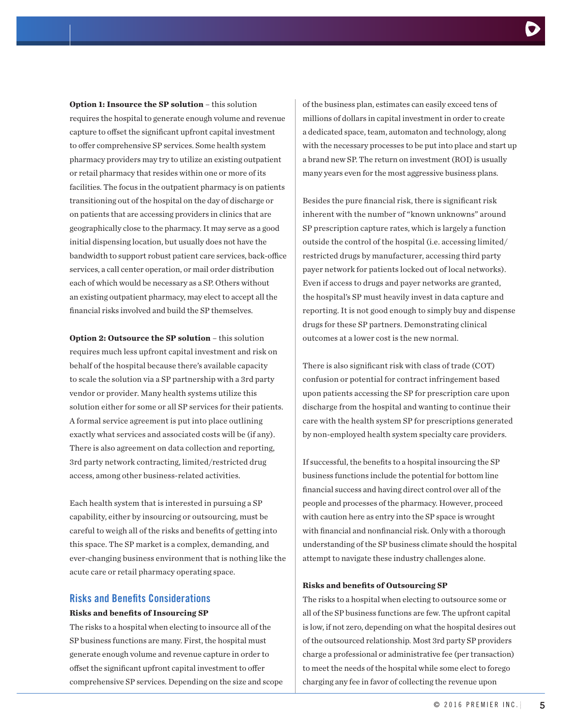**Option 1: Insource the SP solution** – this solution requires the hospital to generate enough volume and revenue capture to offset the significant upfront capital investment to offer comprehensive SP services. Some health system pharmacy providers may try to utilize an existing outpatient or retail pharmacy that resides within one or more of its facilities. The focus in the outpatient pharmacy is on patients transitioning out of the hospital on the day of discharge or on patients that are accessing providers in clinics that are geographically close to the pharmacy. It may serve as a good initial dispensing location, but usually does not have the bandwidth to support robust patient care services, back-office services, a call center operation, or mail order distribution each of which would be necessary as a SP. Others without an existing outpatient pharmacy, may elect to accept all the financial risks involved and build the SP themselves.

**Option 2: Outsource the SP solution** – this solution requires much less upfront capital investment and risk on behalf of the hospital because there's available capacity to scale the solution via a SP partnership with a 3rd party vendor or provider. Many health systems utilize this solution either for some or all SP services for their patients. A formal service agreement is put into place outlining exactly what services and associated costs will be (if any). There is also agreement on data collection and reporting, 3rd party network contracting, limited/restricted drug access, among other business-related activities.

Each health system that is interested in pursuing a SP capability, either by insourcing or outsourcing, must be careful to weigh all of the risks and benefits of getting into this space. The SP market is a complex, demanding, and ever-changing business environment that is nothing like the acute care or retail pharmacy operating space.

# Risks and Benefits Considerations

#### **Risks and benefits of Insourcing SP**

The risks to a hospital when electing to insource all of the SP business functions are many. First, the hospital must generate enough volume and revenue capture in order to offset the significant upfront capital investment to offer comprehensive SP services. Depending on the size and scope

of the business plan, estimates can easily exceed tens of millions of dollars in capital investment in order to create a dedicated space, team, automaton and technology, along with the necessary processes to be put into place and start up a brand new SP. The return on investment (ROI) is usually many years even for the most aggressive business plans.

Besides the pure financial risk, there is significant risk inherent with the number of "known unknowns" around SP prescription capture rates, which is largely a function outside the control of the hospital (i.e. accessing limited/ restricted drugs by manufacturer, accessing third party payer network for patients locked out of local networks). Even if access to drugs and payer networks are granted, the hospital's SP must heavily invest in data capture and reporting. It is not good enough to simply buy and dispense drugs for these SP partners. Demonstrating clinical outcomes at a lower cost is the new normal.

There is also significant risk with class of trade (COT) confusion or potential for contract infringement based upon patients accessing the SP for prescription care upon discharge from the hospital and wanting to continue their care with the health system SP for prescriptions generated by non-employed health system specialty care providers.

If successful, the benefits to a hospital insourcing the SP business functions include the potential for bottom line financial success and having direct control over all of the people and processes of the pharmacy. However, proceed with caution here as entry into the SP space is wrought with financial and nonfinancial risk. Only with a thorough understanding of the SP business climate should the hospital attempt to navigate these industry challenges alone.

#### **Risks and benefits of Outsourcing SP**

The risks to a hospital when electing to outsource some or all of the SP business functions are few. The upfront capital is low, if not zero, depending on what the hospital desires out of the outsourced relationship. Most 3rd party SP providers charge a professional or administrative fee (per transaction) to meet the needs of the hospital while some elect to forego charging any fee in favor of collecting the revenue upon